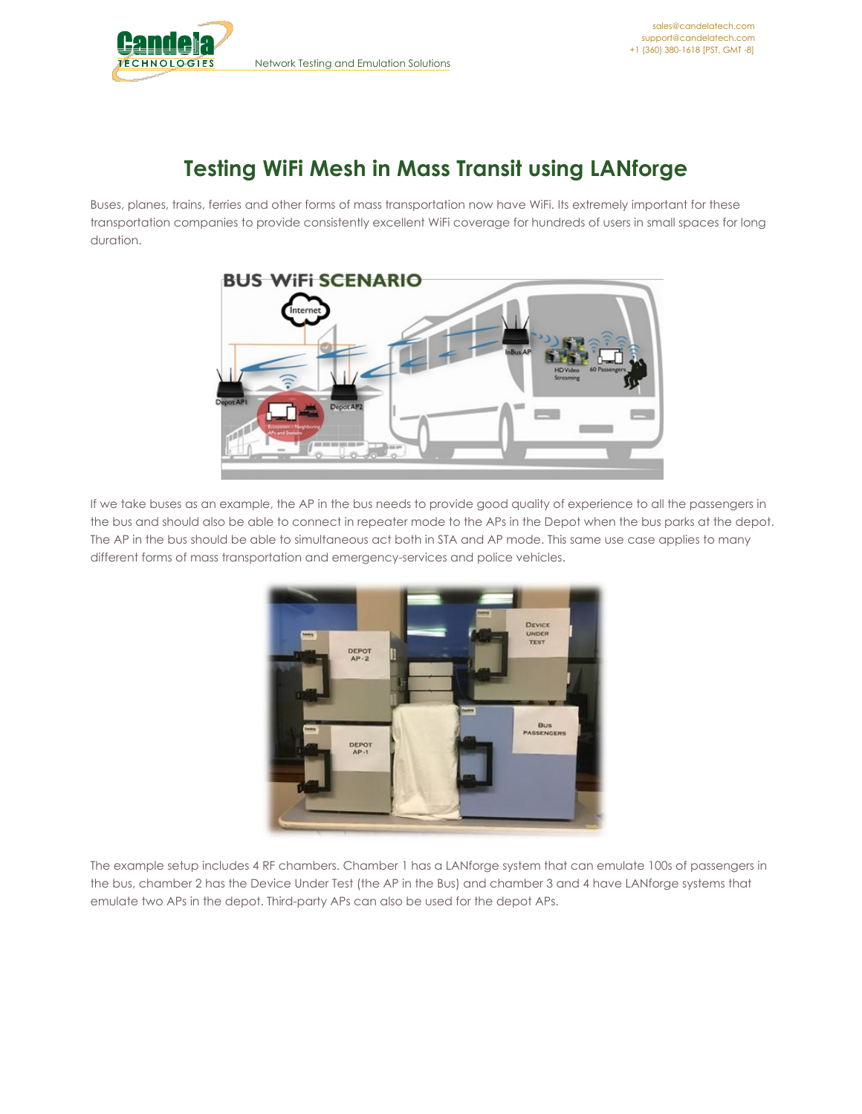

## **Testing WiFi Mesh in Mass Transit using LANforge**

Buses, planes, trains, ferries and other forms of mass transportation now have WiFi. Its extremely important for these transportation companies to provide consistently excellent WiFi coverage for hundreds of users in small spaces for long duration.



If we take buses as an example, the AP in the bus needs to provide good quality of experience to all the passengers in the bus and should also be able to connect in repeater mode to the APs in the Depot when the bus parks at the depot. The AP in the bus should be able to simultaneous act both in STA and AP mode. This same use case applies to many different forms of mass transportation and emergency-services and police vehicles.



The example setup includes 4 RF chambers. Chamber 1 has a LANforge system that can emulate 100s of passengers in the bus, chamber 2 has the Device Under Test (the AP in the Bus) and chamber 3 and 4 have LANforge systems that emulate two APs in the depot. Third-party APs can also be used for the depot APs.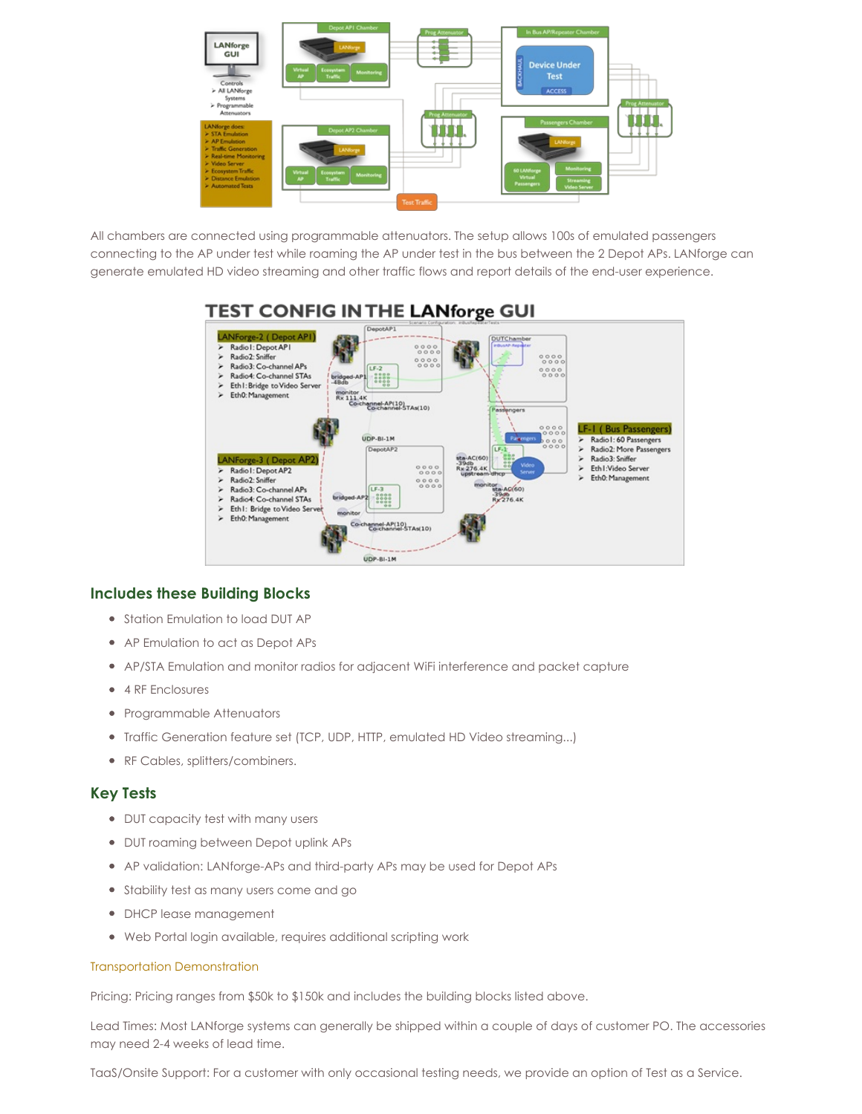

All chambers are connected using programmable attenuators. The setup allows 100s of emulated passengers connecting to the AP under test while roaming the AP under test in the bus between the 2 Depot APs. LANforge can generate emulated HD video streaming and other traffic flows and report details of the end-user experience.



## **Includes these Building Blocks**

- Station Emulation to load DUT AP
- AP Emulation to act as Depot APs
- AP/STA Emulation and monitor radios for adjacent WiFi interference and packet capture
- 4 RF Enclosures
- Programmable Attenuators
- Traffic Generation feature set (TCP, UDP, HTTP, emulated HD Video streaming...)
- RF Cables, splitters/combiners.

## **Key Tests**

- DUT capacity test with many users
- DUT roaming between Depot uplink APs
- AP validation: LANforge-APs and third-party APs may be used for Depot APs
- Stability test as many users come and go
- DHCP lease management
- Web Portal login available, requires additional scripting work

## Transportation [Demonstration](https://www.youtube.com/watch?v=8ZyJWP4e8Fg)

Pricing: Pricing ranges from \$50k to \$150k and includes the building blocks listed above.

Lead Times: Most LANforge systems can generally be shipped within a couple of days of customer PO. The accessories may need 2-4 weeks of lead time.

TaaS/Onsite Support: For a customer with only occasional testing needs, we provide an option of Test as a Service.